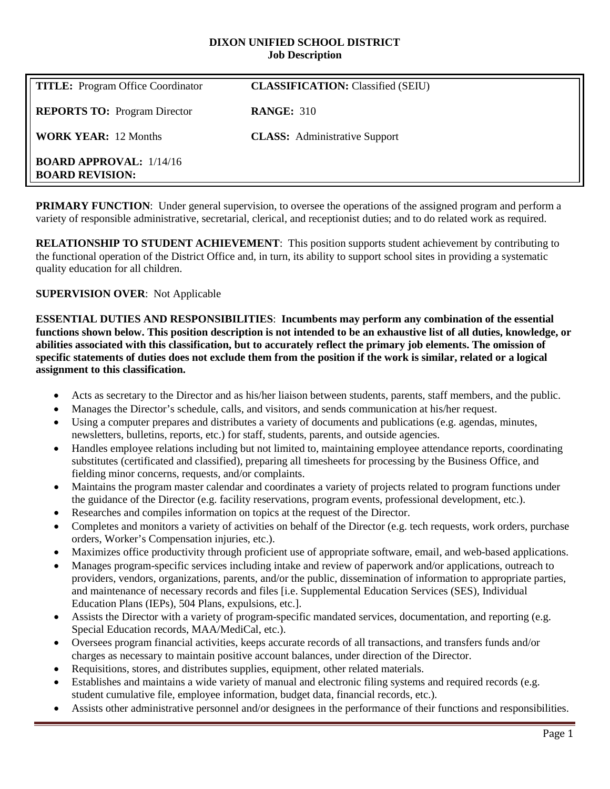#### **DIXON UNIFIED SCHOOL DISTRICT Job Description**

| <b>TITLE:</b> Program Office Coordinator                 | <b>CLASSIFICATION:</b> Classified (SEIU) |
|----------------------------------------------------------|------------------------------------------|
| <b>REPORTS TO:</b> Program Director                      | <b>RANGE: 310</b>                        |
| <b>WORK YEAR: 12 Months</b>                              | <b>CLASS:</b> Administrative Support     |
| <b>BOARD APPROVAL:</b> 1/14/16<br><b>BOARD REVISION:</b> |                                          |

**PRIMARY FUNCTION:** Under general supervision, to oversee the operations of the assigned program and perform a variety of responsible administrative, secretarial, clerical, and receptionist duties; and to do related work as required.

**RELATIONSHIP TO STUDENT ACHIEVEMENT**: This position supports student achievement by contributing to the functional operation of the District Office and, in turn, its ability to support school sites in providing a systematic quality education for all children.

## **SUPERVISION OVER**: Not Applicable

**ESSENTIAL DUTIES AND RESPONSIBILITIES**: **Incumbents may perform any combination of the essential functions shown below. This position description is not intended to be an exhaustive list of all duties, knowledge, or abilities associated with this classification, but to accurately reflect the primary job elements. The omission of specific statements of duties does not exclude them from the position if the work is similar, related or a logical assignment to this classification.**

- Acts as secretary to the Director and as his/her liaison between students, parents, staff members, and the public.
- Manages the Director's schedule, calls, and visitors, and sends communication at his/her request.
- Using a computer prepares and distributes a variety of documents and publications (e.g. agendas, minutes, newsletters, bulletins, reports, etc.) for staff, students, parents, and outside agencies.
- Handles employee relations including but not limited to, maintaining employee attendance reports, coordinating substitutes (certificated and classified), preparing all timesheets for processing by the Business Office, and fielding minor concerns, requests, and/or complaints.
- Maintains the program master calendar and coordinates a variety of projects related to program functions under the guidance of the Director (e.g. facility reservations, program events, professional development, etc.).
- Researches and compiles information on topics at the request of the Director.
- Completes and monitors a variety of activities on behalf of the Director (e.g. tech requests, work orders, purchase orders, Worker's Compensation injuries, etc.).
- Maximizes office productivity through proficient use of appropriate software, email, and web-based applications.
- Manages program-specific services including intake and review of paperwork and/or applications, outreach to providers, vendors, organizations, parents, and/or the public, dissemination of information to appropriate parties, and maintenance of necessary records and files [i.e. Supplemental Education Services (SES), Individual Education Plans (IEPs), 504 Plans, expulsions, etc.].
- Assists the Director with a variety of program-specific mandated services, documentation, and reporting (e.g. Special Education records, MAA/MediCal, etc.).
- Oversees program financial activities, keeps accurate records of all transactions, and transfers funds and/or charges as necessary to maintain positive account balances, under direction of the Director.
- Requisitions, stores, and distributes supplies, equipment, other related materials.
- Establishes and maintains a wide variety of manual and electronic filing systems and required records (e.g. student cumulative file, employee information, budget data, financial records, etc.).
- Assists other administrative personnel and/or designees in the performance of their functions and responsibilities.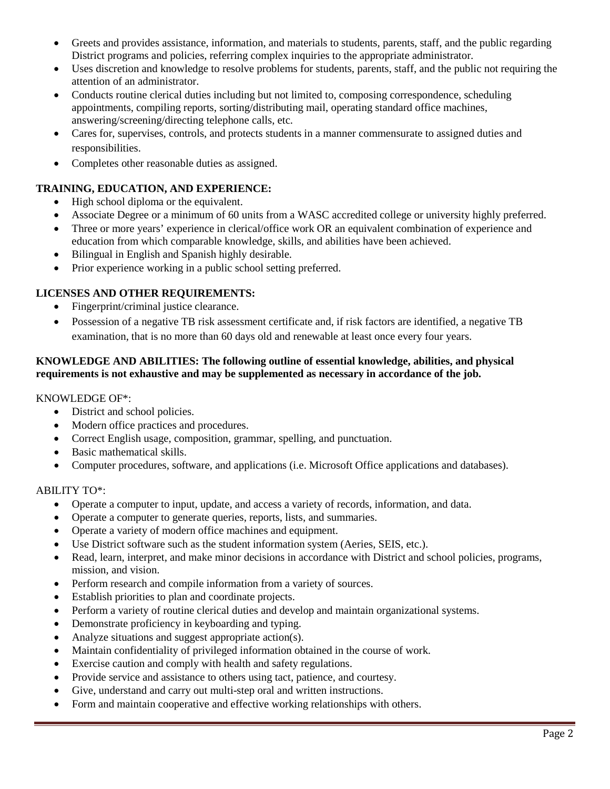- Greets and provides assistance, information, and materials to students, parents, staff, and the public regarding District programs and policies, referring complex inquiries to the appropriate administrator.
- Uses discretion and knowledge to resolve problems for students, parents, staff, and the public not requiring the attention of an administrator.
- Conducts routine clerical duties including but not limited to, composing correspondence, scheduling appointments, compiling reports, sorting/distributing mail, operating standard office machines, answering/screening/directing telephone calls, etc.
- Cares for, supervises, controls, and protects students in a manner commensurate to assigned duties and responsibilities.
- Completes other reasonable duties as assigned.

# **TRAINING, EDUCATION, AND EXPERIENCE:**

- High school diploma or the equivalent.
- Associate Degree or a minimum of 60 units from a WASC accredited college or university highly preferred.
- Three or more years' experience in clerical/office work OR an equivalent combination of experience and education from which comparable knowledge, skills, and abilities have been achieved.
- Bilingual in English and Spanish highly desirable.
- Prior experience working in a public school setting preferred.

# **LICENSES AND OTHER REQUIREMENTS:**

- Fingerprint/criminal justice clearance.
- Possession of a negative TB risk assessment certificate and, if risk factors are identified, a negative TB examination, that is no more than 60 days old and renewable at least once every four years.

### **KNOWLEDGE AND ABILITIES: The following outline of essential knowledge, abilities, and physical requirements is not exhaustive and may be supplemented as necessary in accordance of the job.**

KNOWLEDGE OF\*:

- District and school policies.
- Modern office practices and procedures.
- Correct English usage, composition, grammar, spelling, and punctuation.
- Basic mathematical skills.
- Computer procedures, software, and applications (i.e. Microsoft Office applications and databases).

## ABILITY TO\*:

- Operate a computer to input, update, and access a variety of records, information, and data.
- Operate a computer to generate queries, reports, lists, and summaries.
- Operate a variety of modern office machines and equipment.
- Use District software such as the student information system (Aeries, SEIS, etc.).
- Read, learn, interpret, and make minor decisions in accordance with District and school policies, programs, mission, and vision.
- Perform research and compile information from a variety of sources.
- Establish priorities to plan and coordinate projects.
- Perform a variety of routine clerical duties and develop and maintain organizational systems.
- Demonstrate proficiency in keyboarding and typing.
- Analyze situations and suggest appropriate action(s).
- Maintain confidentiality of privileged information obtained in the course of work.
- Exercise caution and comply with health and safety regulations.
- Provide service and assistance to others using tact, patience, and courtesy.
- Give, understand and carry out multi-step oral and written instructions.
- Form and maintain cooperative and effective working relationships with others.